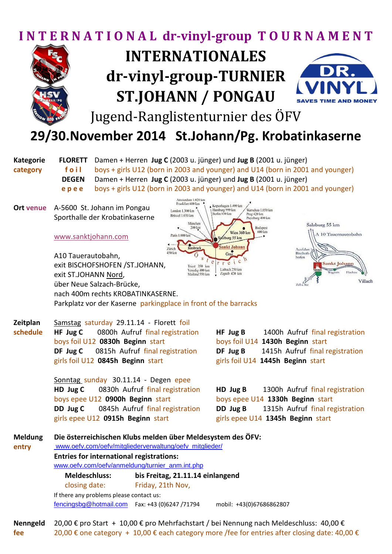## **I N T E R N A T I O N A L dr-vinyl-group T O U R N A M E N T**



## **INTERNATIONALES dr-vinyl-group-TURNIER ST.JOHANN / PONGAU**



Jugend-Ranglistenturnier des ÖFV

## **29/30.November 2014 St.Johann/Pg. Krobatinkaserne**

**Kategorie FLORETT** Damen + Herren **Jug C** (2003 u. jünger) und **Jug B** (2001 u. jünger) **category foil** boys + girls U12 (born in 2003 and younger) and U14 (born in 2001 and younger) **DEGEN** Damen + Herren **Jug C** (2003 u. jünger) und **Jug B** (2001 u. jünger) **e p e e** boys + girls U12 (born in 2003 and younger) and U14 (born in 2001 and younger)

**Ort venue** A-5600 St. Johann im Pongau Sporthalle der Krobatinkaserne

## [www.sanktjohann.com](http://www.sanktjohann.com/)





A10 Tauerautobahn, exit BISCHOFSHOFEN /ST.JOHANN, exit ST.JOHANN Nord, über Neue Salzach-Brücke, nach 400m rechts KROBATINKASERNE. Parkplatz vor der Kaserne parkingplace in front of the barracks

| Zeitplan                | Samstag saturday 29.11.14 - Florett foil                                                                               |                                                 |  |
|-------------------------|------------------------------------------------------------------------------------------------------------------------|-------------------------------------------------|--|
| schedule                | HF Jug C 0800h Aufruf final registration                                                                               | HF Jug B 1400h Aufruf final registration        |  |
|                         | boys foil U12 0830h Beginn start                                                                                       | boys foil U14 1430h Beginn start                |  |
|                         | DF Jug C 0815h Aufruf final registration                                                                               | <b>DF Jug B</b> 1415h Aufruf final registration |  |
|                         | girls foil U12 0845h Beginn start                                                                                      | girls foil U14 1445h Beginn start               |  |
|                         | Sonntag sunday 30.11.14 - Degen epee                                                                                   |                                                 |  |
|                         | HD Jug C 0830h Aufruf final registration                                                                               | <b>HD Jug B</b> 1300h Aufruf final registration |  |
|                         | boys epee U12 0900h Beginn start                                                                                       | boys epee U14 1330h Beginn start                |  |
|                         | <b>DD Jug C</b> 0845h Aufruf final registration                                                                        | <b>DD Jug B</b> 1315h Aufruf final registration |  |
|                         | girls epee U12 0915h Beginn start                                                                                      | girls epee U14 1345h Beginn start               |  |
| <b>Meldung</b><br>entry | Die österreichischen Klubs melden über Meldesystem des ÖFV:<br>www.oefv.com/oefv/mitgliederverwaltung/oefv_mitglieder/ |                                                 |  |
|                         | <b>Entries for international registrations:</b><br>www.oefv.com/oefv/anmeldung/turnier_anm.int.php                     |                                                 |  |
|                         | <b>Meldeschluss:</b><br>bis Freitag, 21.11.14 einlangend                                                               |                                                 |  |

 closing date: Friday, 21th Nov, If there any problems please contact us: [fencingsbg@hotmail.com](mailto:fencingsbg@hotmail.com) Fax: +43 (0)6247 /71794 mobil: +43(0)67686862807

**Nenngeld** 20,00 € pro Start + 10,00 € pro Mehrfachstart / bei Nennung nach Meldeschluss: 40,00 € **fee** 20,00 € one category + 10,00 € each category more /fee for entries after closing date: 40,00 €